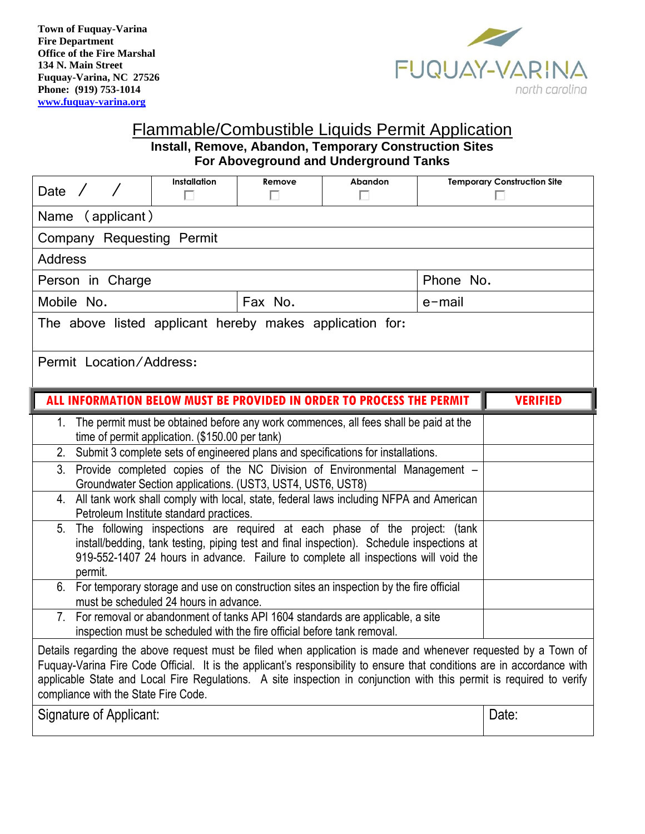

#### Flammable/Combustible Liquids Permit Application **Install, Remove, Abandon, Temporary Construction Sites For Aboveground and Underground Tanks**

| Date $\angle$                                                                                                                                                                                                                                                                                                                                                                                                                                                                                                                                                                                                                                                                                                                                                                                                                                                                                                                                                                                                                                                                                                                                                                                                                                                                                                                                                                                                                                                                                                                                          | Installation<br>п | Remove<br>П | <b>Abandon</b><br>п | <b>Temporary Construction Site</b> |                 |
|--------------------------------------------------------------------------------------------------------------------------------------------------------------------------------------------------------------------------------------------------------------------------------------------------------------------------------------------------------------------------------------------------------------------------------------------------------------------------------------------------------------------------------------------------------------------------------------------------------------------------------------------------------------------------------------------------------------------------------------------------------------------------------------------------------------------------------------------------------------------------------------------------------------------------------------------------------------------------------------------------------------------------------------------------------------------------------------------------------------------------------------------------------------------------------------------------------------------------------------------------------------------------------------------------------------------------------------------------------------------------------------------------------------------------------------------------------------------------------------------------------------------------------------------------------|-------------------|-------------|---------------------|------------------------------------|-----------------|
| (applicant)<br>Name                                                                                                                                                                                                                                                                                                                                                                                                                                                                                                                                                                                                                                                                                                                                                                                                                                                                                                                                                                                                                                                                                                                                                                                                                                                                                                                                                                                                                                                                                                                                    |                   |             |                     |                                    |                 |
| Company Requesting Permit                                                                                                                                                                                                                                                                                                                                                                                                                                                                                                                                                                                                                                                                                                                                                                                                                                                                                                                                                                                                                                                                                                                                                                                                                                                                                                                                                                                                                                                                                                                              |                   |             |                     |                                    |                 |
| <b>Address</b>                                                                                                                                                                                                                                                                                                                                                                                                                                                                                                                                                                                                                                                                                                                                                                                                                                                                                                                                                                                                                                                                                                                                                                                                                                                                                                                                                                                                                                                                                                                                         |                   |             |                     |                                    |                 |
| Person in Charge                                                                                                                                                                                                                                                                                                                                                                                                                                                                                                                                                                                                                                                                                                                                                                                                                                                                                                                                                                                                                                                                                                                                                                                                                                                                                                                                                                                                                                                                                                                                       |                   |             |                     | Phone No.                          |                 |
| Mobile No.<br>Fax No.                                                                                                                                                                                                                                                                                                                                                                                                                                                                                                                                                                                                                                                                                                                                                                                                                                                                                                                                                                                                                                                                                                                                                                                                                                                                                                                                                                                                                                                                                                                                  |                   |             |                     | $e$ -mail                          |                 |
| The above listed applicant hereby makes application for:                                                                                                                                                                                                                                                                                                                                                                                                                                                                                                                                                                                                                                                                                                                                                                                                                                                                                                                                                                                                                                                                                                                                                                                                                                                                                                                                                                                                                                                                                               |                   |             |                     |                                    |                 |
| Permit Location/Address:                                                                                                                                                                                                                                                                                                                                                                                                                                                                                                                                                                                                                                                                                                                                                                                                                                                                                                                                                                                                                                                                                                                                                                                                                                                                                                                                                                                                                                                                                                                               |                   |             |                     |                                    |                 |
| ALL INFORMATION BELOW MUST BE PROVIDED IN ORDER TO PROCESS THE PERMIT                                                                                                                                                                                                                                                                                                                                                                                                                                                                                                                                                                                                                                                                                                                                                                                                                                                                                                                                                                                                                                                                                                                                                                                                                                                                                                                                                                                                                                                                                  |                   |             |                     |                                    | <b>VERIFIED</b> |
| The permit must be obtained before any work commences, all fees shall be paid at the<br>1.<br>time of permit application. (\$150.00 per tank)<br>Submit 3 complete sets of engineered plans and specifications for installations.<br>2.<br>Provide completed copies of the NC Division of Environmental Management -<br>3 <sub>1</sub><br>Groundwater Section applications. (UST3, UST4, UST6, UST8)<br>4. All tank work shall comply with local, state, federal laws including NFPA and American<br>Petroleum Institute standard practices.<br>The following inspections are required at each phase of the project: (tank<br>5.<br>install/bedding, tank testing, piping test and final inspection). Schedule inspections at<br>919-552-1407 24 hours in advance. Failure to complete all inspections will void the<br>permit.<br>For temporary storage and use on construction sites an inspection by the fire official<br>6.<br>must be scheduled 24 hours in advance.<br>7. For removal or abandonment of tanks API 1604 standards are applicable, a site<br>inspection must be scheduled with the fire official before tank removal.<br>Details regarding the above request must be filed when application is made and whenever requested by a Town of<br>Fuquay-Varina Fire Code Official. It is the applicant's responsibility to ensure that conditions are in accordance with<br>applicable State and Local Fire Regulations. A site inspection in conjunction with this permit is required to verify<br>compliance with the State Fire Code. |                   |             |                     |                                    |                 |
| Signature of Applicant:                                                                                                                                                                                                                                                                                                                                                                                                                                                                                                                                                                                                                                                                                                                                                                                                                                                                                                                                                                                                                                                                                                                                                                                                                                                                                                                                                                                                                                                                                                                                |                   |             |                     |                                    | Date:           |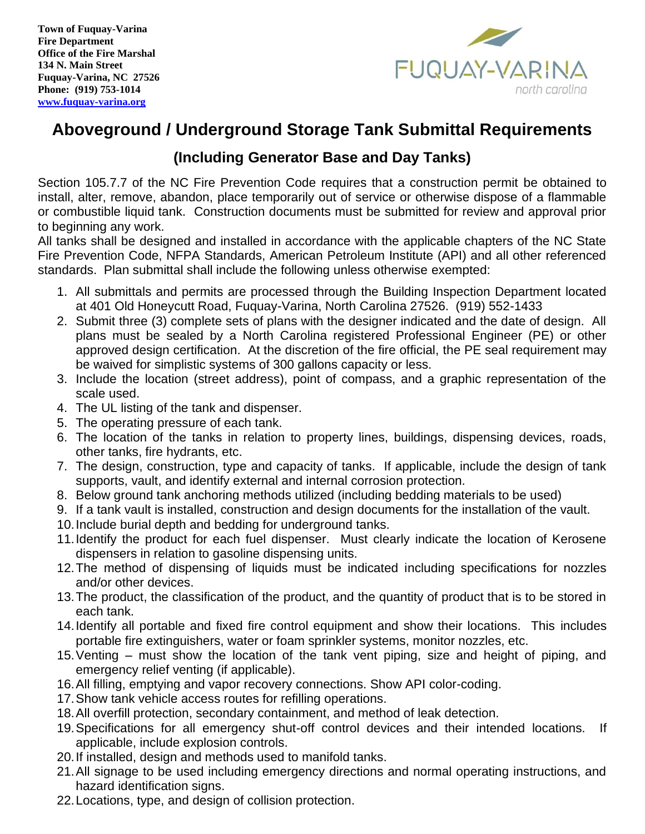

# **Aboveground / Underground Storage Tank Submittal Requirements**

### **(Including Generator Base and Day Tanks)**

Section 105.7.7 of the NC Fire Prevention Code requires that a construction permit be obtained to install, alter, remove, abandon, place temporarily out of service or otherwise dispose of a flammable or combustible liquid tank. Construction documents must be submitted for review and approval prior to beginning any work.

All tanks shall be designed and installed in accordance with the applicable chapters of the NC State Fire Prevention Code, NFPA Standards, American Petroleum Institute (API) and all other referenced standards. Plan submittal shall include the following unless otherwise exempted:

- 1. All submittals and permits are processed through the Building Inspection Department located at 401 Old Honeycutt Road, Fuquay-Varina, North Carolina 27526. (919) 552-1433
- 2. Submit three (3) complete sets of plans with the designer indicated and the date of design. All plans must be sealed by a North Carolina registered Professional Engineer (PE) or other approved design certification. At the discretion of the fire official, the PE seal requirement may be waived for simplistic systems of 300 gallons capacity or less.
- 3. Include the location (street address), point of compass, and a graphic representation of the scale used.
- 4. The UL listing of the tank and dispenser.
- 5. The operating pressure of each tank.
- 6. The location of the tanks in relation to property lines, buildings, dispensing devices, roads, other tanks, fire hydrants, etc.
- 7. The design, construction, type and capacity of tanks. If applicable, include the design of tank supports, vault, and identify external and internal corrosion protection.
- 8. Below ground tank anchoring methods utilized (including bedding materials to be used)
- 9. If a tank vault is installed, construction and design documents for the installation of the vault.
- 10.Include burial depth and bedding for underground tanks.
- 11.Identify the product for each fuel dispenser. Must clearly indicate the location of Kerosene dispensers in relation to gasoline dispensing units.
- 12.The method of dispensing of liquids must be indicated including specifications for nozzles and/or other devices.
- 13.The product, the classification of the product, and the quantity of product that is to be stored in each tank.
- 14.Identify all portable and fixed fire control equipment and show their locations. This includes portable fire extinguishers, water or foam sprinkler systems, monitor nozzles, etc.
- 15.Venting must show the location of the tank vent piping, size and height of piping, and emergency relief venting (if applicable).
- 16.All filling, emptying and vapor recovery connections. Show API color-coding.
- 17.Show tank vehicle access routes for refilling operations.
- 18.All overfill protection, secondary containment, and method of leak detection.
- 19.Specifications for all emergency shut-off control devices and their intended locations. If applicable, include explosion controls.
- 20.If installed, design and methods used to manifold tanks.
- 21.All signage to be used including emergency directions and normal operating instructions, and hazard identification signs.
- 22.Locations, type, and design of collision protection.